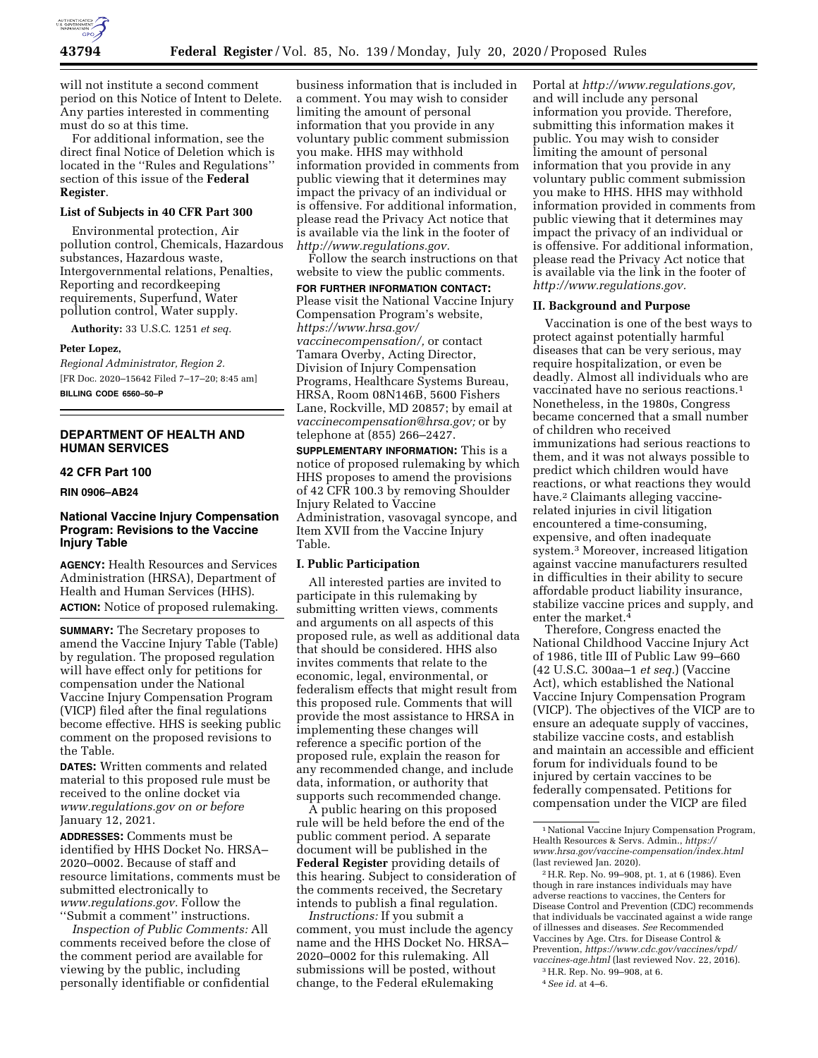

will not institute a second comment period on this Notice of Intent to Delete. Any parties interested in commenting must do so at this time.

For additional information, see the direct final Notice of Deletion which is located in the ''Rules and Regulations'' section of this issue of the **Federal Register**.

# **List of Subjects in 40 CFR Part 300**

Environmental protection, Air pollution control, Chemicals, Hazardous substances, Hazardous waste, Intergovernmental relations, Penalties, Reporting and recordkeeping requirements, Superfund, Water pollution control, Water supply.

**Authority:** 33 U.S.C. 1251 *et seq.* 

#### **Peter Lopez,**

*Regional Administrator, Region 2.*  [FR Doc. 2020–15642 Filed 7–17–20; 8:45 am] **BILLING CODE 6560–50–P** 

### **DEPARTMENT OF HEALTH AND HUMAN SERVICES**

#### **42 CFR Part 100**

**RIN 0906–AB24** 

### **National Vaccine Injury Compensation Program: Revisions to the Vaccine Injury Table**

**AGENCY:** Health Resources and Services Administration (HRSA), Department of Health and Human Services (HHS). **ACTION:** Notice of proposed rulemaking.

**SUMMARY:** The Secretary proposes to amend the Vaccine Injury Table (Table) by regulation. The proposed regulation will have effect only for petitions for compensation under the National Vaccine Injury Compensation Program (VICP) filed after the final regulations become effective. HHS is seeking public comment on the proposed revisions to the Table.

**DATES:** Written comments and related material to this proposed rule must be received to the online docket via *[www.regulations.gov](http://www.regulations.gov) on or before*  January 12, 2021.

**ADDRESSES:** Comments must be identified by HHS Docket No. HRSA– 2020–0002. Because of staff and resource limitations, comments must be submitted electronically to *[www.regulations.gov.](http://www.regulations.gov)* Follow the ''Submit a comment'' instructions.

*Inspection of Public Comments:* All comments received before the close of the comment period are available for viewing by the public, including personally identifiable or confidential

business information that is included in a comment. You may wish to consider limiting the amount of personal information that you provide in any voluntary public comment submission you make. HHS may withhold information provided in comments from public viewing that it determines may impact the privacy of an individual or is offensive. For additional information, please read the Privacy Act notice that is available via the link in the footer of *[http://www.regulations.gov.](http://www.regulations.gov)* 

Follow the search instructions on that website to view the public comments.

**FOR FURTHER INFORMATION CONTACT:** 

Please visit the National Vaccine Injury Compensation Program's website, *[https://www.hrsa.gov/](https://www.hrsa.gov/vaccinecompensation/)  [vaccinecompensation/,](https://www.hrsa.gov/vaccinecompensation/)* or contact Tamara Overby, Acting Director, Division of Injury Compensation Programs, Healthcare Systems Bureau, HRSA, Room 08N146B, 5600 Fishers Lane, Rockville, MD 20857; by email at *[vaccinecompensation@hrsa.gov;](mailto:vaccinecompensation@hrsa.gov)* or by telephone at (855) 266–2427.

**SUPPLEMENTARY INFORMATION:** This is a notice of proposed rulemaking by which HHS proposes to amend the provisions of 42 CFR 100.3 by removing Shoulder Injury Related to Vaccine Administration, vasovagal syncope, and Item XVII from the Vaccine Injury Table.

# **I. Public Participation**

All interested parties are invited to participate in this rulemaking by submitting written views, comments and arguments on all aspects of this proposed rule, as well as additional data that should be considered. HHS also invites comments that relate to the economic, legal, environmental, or federalism effects that might result from this proposed rule. Comments that will provide the most assistance to HRSA in implementing these changes will reference a specific portion of the proposed rule, explain the reason for any recommended change, and include data, information, or authority that supports such recommended change.

A public hearing on this proposed rule will be held before the end of the public comment period. A separate document will be published in the **Federal Register** providing details of this hearing. Subject to consideration of the comments received, the Secretary intends to publish a final regulation.

*Instructions:* If you submit a comment, you must include the agency name and the HHS Docket No. HRSA– 2020–0002 for this rulemaking. All submissions will be posted, without change, to the Federal eRulemaking

Portal at *[http://www.regulations.gov,](http://www.regulations.gov)*  and will include any personal information you provide. Therefore, submitting this information makes it public. You may wish to consider limiting the amount of personal information that you provide in any voluntary public comment submission you make to HHS. HHS may withhold information provided in comments from public viewing that it determines may impact the privacy of an individual or is offensive. For additional information, please read the Privacy Act notice that is available via the link in the footer of *[http://www.regulations.gov.](http://www.regulations.gov)* 

### **II. Background and Purpose**

Vaccination is one of the best ways to protect against potentially harmful diseases that can be very serious, may require hospitalization, or even be deadly. Almost all individuals who are vaccinated have no serious reactions.1 Nonetheless, in the 1980s, Congress became concerned that a small number of children who received immunizations had serious reactions to them, and it was not always possible to predict which children would have reactions, or what reactions they would have.2 Claimants alleging vaccinerelated injuries in civil litigation encountered a time-consuming, expensive, and often inadequate system.3 Moreover, increased litigation against vaccine manufacturers resulted in difficulties in their ability to secure affordable product liability insurance, stabilize vaccine prices and supply, and enter the market.<sup>4</sup>

Therefore, Congress enacted the National Childhood Vaccine Injury Act of 1986, title III of Public Law 99–660 (42 U.S.C. 300aa–1 *et seq.*) (Vaccine Act), which established the National Vaccine Injury Compensation Program (VICP). The objectives of the VICP are to ensure an adequate supply of vaccines, stabilize vaccine costs, and establish and maintain an accessible and efficient forum for individuals found to be injured by certain vaccines to be federally compensated. Petitions for compensation under the VICP are filed

4*See id.* at 4–6.

<sup>&</sup>lt;sup>1</sup> National Vaccine Injury Compensation Program, Health Resources & Servs. Admin., *[https://](https://www.hrsa.gov/vaccine-compensation/index.html) [www.hrsa.gov/vaccine-compensation/index.html](https://www.hrsa.gov/vaccine-compensation/index.html)*  (last reviewed Jan. 2020).

<sup>2</sup>H.R. Rep. No. 99–908, pt. 1, at 6 (1986). Even though in rare instances individuals may have adverse reactions to vaccines, the Centers for Disease Control and Prevention (CDC) recommends that individuals be vaccinated against a wide range of illnesses and diseases. *See* Recommended Vaccines by Age. Ctrs. for Disease Control & Prevention, *[https://www.cdc.gov/vaccines/vpd/](https://www.cdc.gov/vaccines/vpd/vaccines-age.html)  [vaccines-age.html](https://www.cdc.gov/vaccines/vpd/vaccines-age.html)* (last reviewed Nov. 22, 2016).

<sup>3</sup>H.R. Rep. No. 99–908, at 6.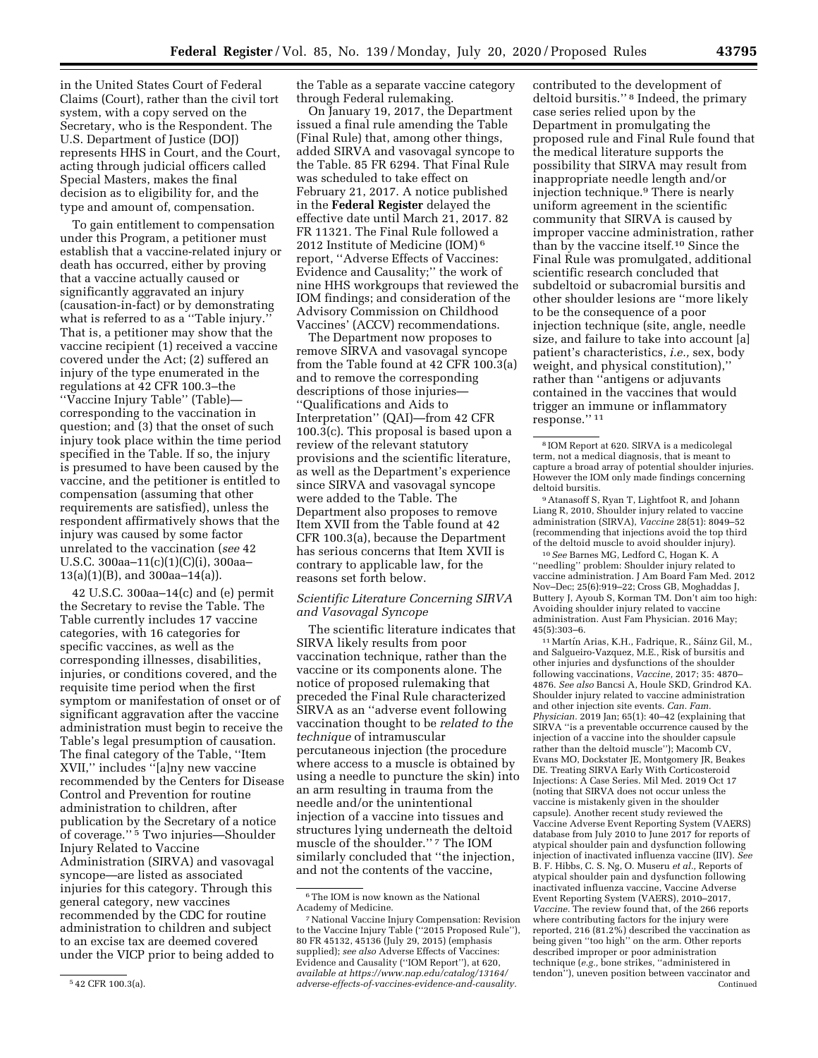in the United States Court of Federal Claims (Court), rather than the civil tort system, with a copy served on the Secretary, who is the Respondent. The U.S. Department of Justice (DOJ) represents HHS in Court, and the Court, acting through judicial officers called Special Masters, makes the final decision as to eligibility for, and the type and amount of, compensation.

To gain entitlement to compensation under this Program, a petitioner must establish that a vaccine-related injury or death has occurred, either by proving that a vaccine actually caused or significantly aggravated an injury (causation-in-fact) or by demonstrating what is referred to as a "Table injury." That is, a petitioner may show that the vaccine recipient (1) received a vaccine covered under the Act; (2) suffered an injury of the type enumerated in the regulations at 42 CFR 100.3–the ''Vaccine Injury Table'' (Table) corresponding to the vaccination in question; and (3) that the onset of such injury took place within the time period specified in the Table. If so, the injury is presumed to have been caused by the vaccine, and the petitioner is entitled to compensation (assuming that other requirements are satisfied), unless the respondent affirmatively shows that the injury was caused by some factor unrelated to the vaccination (*see* 42 U.S.C. 300aa–11(c)(1)(C)(i), 300aa–  $13(a)(1)(B)$ , and  $300aa-14(a)$ .

42 U.S.C. 300aa–14(c) and (e) permit the Secretary to revise the Table. The Table currently includes 17 vaccine categories, with 16 categories for specific vaccines, as well as the corresponding illnesses, disabilities, injuries, or conditions covered, and the requisite time period when the first symptom or manifestation of onset or of significant aggravation after the vaccine administration must begin to receive the Table's legal presumption of causation. The final category of the Table, ''Item XVII,'' includes ''[a]ny new vaccine recommended by the Centers for Disease Control and Prevention for routine administration to children, after publication by the Secretary of a notice of coverage.'' 5 Two injuries—Shoulder Injury Related to Vaccine Administration (SIRVA) and vasovagal syncope—are listed as associated injuries for this category. Through this general category, new vaccines recommended by the CDC for routine administration to children and subject to an excise tax are deemed covered under the VICP prior to being added to

the Table as a separate vaccine category through Federal rulemaking.

On January 19, 2017, the Department issued a final rule amending the Table (Final Rule) that, among other things, added SIRVA and vasovagal syncope to the Table. 85 FR 6294. That Final Rule was scheduled to take effect on February 21, 2017. A notice published in the **Federal Register** delayed the effective date until March 21, 2017. 82 FR 11321. The Final Rule followed a 2012 Institute of Medicine (IOM) 6 report, ''Adverse Effects of Vaccines: Evidence and Causality;'' the work of nine HHS workgroups that reviewed the IOM findings; and consideration of the Advisory Commission on Childhood Vaccines' (ACCV) recommendations.

The Department now proposes to remove SIRVA and vasovagal syncope from the Table found at 42 CFR 100.3(a) and to remove the corresponding descriptions of those injuries— ''Qualifications and Aids to Interpretation'' (QAI)—from 42 CFR 100.3(c). This proposal is based upon a review of the relevant statutory provisions and the scientific literature, as well as the Department's experience since SIRVA and vasovagal syncope were added to the Table. The Department also proposes to remove Item XVII from the Table found at 42 CFR 100.3(a), because the Department has serious concerns that Item XVII is contrary to applicable law, for the reasons set forth below.

### *Scientific Literature Concerning SIRVA and Vasovagal Syncope*

The scientific literature indicates that SIRVA likely results from poor vaccination technique, rather than the vaccine or its components alone. The notice of proposed rulemaking that preceded the Final Rule characterized SIRVA as an ''adverse event following vaccination thought to be *related to the technique* of intramuscular percutaneous injection (the procedure where access to a muscle is obtained by using a needle to puncture the skin) into an arm resulting in trauma from the needle and/or the unintentional injection of a vaccine into tissues and structures lying underneath the deltoid muscle of the shoulder.'' 7 The IOM similarly concluded that ''the injection, and not the contents of the vaccine,

contributed to the development of deltoid bursitis.'' 8 Indeed, the primary case series relied upon by the Department in promulgating the proposed rule and Final Rule found that the medical literature supports the possibility that SIRVA may result from inappropriate needle length and/or injection technique.9 There is nearly uniform agreement in the scientific community that SIRVA is caused by improper vaccine administration, rather than by the vaccine itself.10 Since the Final Rule was promulgated, additional scientific research concluded that subdeltoid or subacromial bursitis and other shoulder lesions are ''more likely to be the consequence of a poor injection technique (site, angle, needle size, and failure to take into account [a] patient's characteristics, *i.e.,* sex, body weight, and physical constitution),'' rather than ''antigens or adjuvants contained in the vaccines that would trigger an immune or inflammatory response.'' 11

9Atanasoff S, Ryan T, Lightfoot R, and Johann Liang R, 2010, Shoulder injury related to vaccine administration (SIRVA), *Vaccine* 28(51): 8049–52 (recommending that injections avoid the top third of the deltoid muscle to avoid shoulder injury).

10*See* Barnes MG, Ledford C, Hogan K. A ''needling'' problem: Shoulder injury related to vaccine administration. J Am Board Fam Med. 2012 Nov–Dec; 25(6):919–22; Cross GB, Moghaddas J, Buttery J, Ayoub S, Korman TM. Don't aim too high: Avoiding shoulder injury related to vaccine administration. Aust Fam Physician. 2016 May; 45(5):303–6.

<sup>11</sup> Martín Arias, K.H., Fadrique, R., Sáinz Gil, M., and Salgueiro-Vazquez, M.E., Risk of bursitis and other injuries and dysfunctions of the shoulder following vaccinations, *Vaccine,* 2017; 35: 4870– 4876. *See also* Bancsi A, Houle SKD, Grindrod KA. Shoulder injury related to vaccine administration and other injection site events. *Can. Fam. Physician.* 2019 Jan; 65(1): 40–42 (explaining that SIRVA ''is a preventable occurrence caused by the injection of a vaccine into the shoulder capsule rather than the deltoid muscle''); Macomb CV, Evans MO, Dockstater JE, Montgomery JR, Beakes DE. Treating SIRVA Early With Corticosteroid Injections: A Case Series. Mil Med. 2019 Oct 17 (noting that SIRVA does not occur unless the vaccine is mistakenly given in the shoulder capsule). Another recent study reviewed the Vaccine Adverse Event Reporting System (VAERS) database from July 2010 to June 2017 for reports of atypical shoulder pain and dysfunction following injection of inactivated influenza vaccine (IIV). *See*  B. F. Hibbs, C. S. Ng, O. Museru *et al.,* Reports of atypical shoulder pain and dysfunction following inactivated influenza vaccine, Vaccine Adverse Event Reporting System (VAERS), 2010–2017, *Vaccine.* The review found that, of the 266 reports where contributing factors for the injury were reported, 216 (81.2%) described the vaccination as being given ''too high'' on the arm. Other reports described improper or poor administration technique (*e.g.,* bone strikes, ''administered in tendon''), uneven position between vaccinator and Continued

<sup>5</sup> 42 CFR 100.3(a).

 $^{\rm 6}$  The IOM is now known as the National Academy of Medicine.

<sup>7</sup>National Vaccine Injury Compensation: Revision to the Vaccine Injury Table (''2015 Proposed Rule''), 80 FR 45132, 45136 (July 29, 2015) (emphasis supplied); *see also* Adverse Effects of Vaccines: Evidence and Causality (''IOM Report''), at 620, *available at [https://www.nap.edu/catalog/13164/](https://www.nap.edu/catalog/13164/adverse-effects-of-vaccines-evidence-and-causality) [adverse-effects-of-vaccines-evidence-and-causality.](https://www.nap.edu/catalog/13164/adverse-effects-of-vaccines-evidence-and-causality)* 

<sup>8</sup> IOM Report at 620. SIRVA is a medicolegal term, not a medical diagnosis, that is meant to capture a broad array of potential shoulder injuries. However the IOM only made findings concerning deltoid bursitis.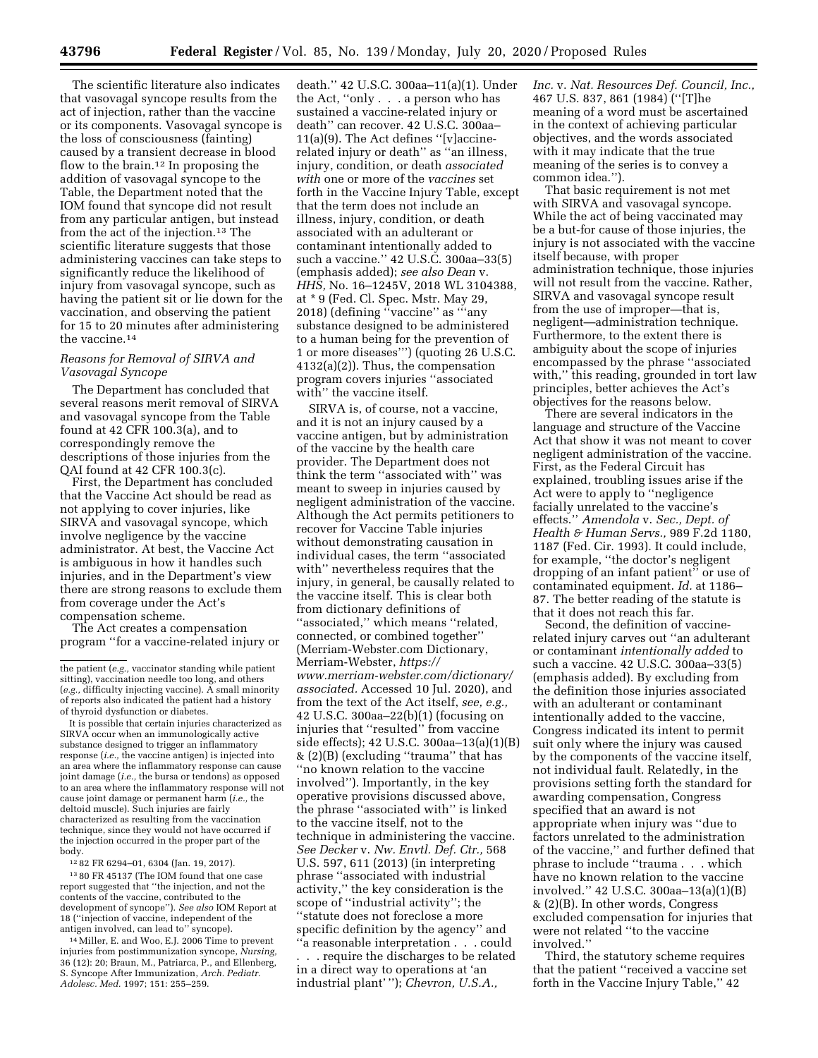The scientific literature also indicates that vasovagal syncope results from the act of injection, rather than the vaccine or its components. Vasovagal syncope is the loss of consciousness (fainting) caused by a transient decrease in blood flow to the brain.<sup>12</sup> In proposing the addition of vasovagal syncope to the Table, the Department noted that the IOM found that syncope did not result from any particular antigen, but instead from the act of the injection.13 The scientific literature suggests that those administering vaccines can take steps to significantly reduce the likelihood of injury from vasovagal syncope, such as having the patient sit or lie down for the vaccination, and observing the patient for 15 to 20 minutes after administering the vaccine.14

# *Reasons for Removal of SIRVA and Vasovagal Syncope*

The Department has concluded that several reasons merit removal of SIRVA and vasovagal syncope from the Table found at 42 CFR 100.3(a), and to correspondingly remove the descriptions of those injuries from the QAI found at 42 CFR 100.3(c).

First, the Department has concluded that the Vaccine Act should be read as not applying to cover injuries, like SIRVA and vasovagal syncope, which involve negligence by the vaccine administrator. At best, the Vaccine Act is ambiguous in how it handles such injuries, and in the Department's view there are strong reasons to exclude them from coverage under the Act's compensation scheme.

The Act creates a compensation program ''for a vaccine-related injury or

12 82 FR 6294–01, 6304 (Jan. 19, 2017).

13 80 FR 45137 (The IOM found that one case report suggested that ''the injection, and not the contents of the vaccine, contributed to the development of syncope''). *See also* IOM Report at 18 (''injection of vaccine, independent of the antigen involved, can lead to'' syncope).

14Miller, E. and Woo, E.J. 2006 Time to prevent injuries from postimmunization syncope, *Nursing,*  36 (12): 20; Braun, M., Patriarca, P., and Ellenberg, S. Syncope After Immunization, *Arch. Pediatr. Adolesc. Med.* 1997; 151: 255–259.

death.'' 42 U.S.C. 300aa–11(a)(1). Under the Act, ''only . . . a person who has sustained a vaccine-related injury or death'' can recover. 42 U.S.C. 300aa– 11(a)(9). The Act defines ''[v]accinerelated injury or death'' as ''an illness, injury, condition, or death *associated with* one or more of the *vaccines* set forth in the Vaccine Injury Table, except that the term does not include an illness, injury, condition, or death associated with an adulterant or contaminant intentionally added to such a vaccine.'' 42 U.S.C. 300aa–33(5) (emphasis added); *see also Dean* v. *HHS,* No. 16–1245V, 2018 WL 3104388, at \* 9 (Fed. Cl. Spec. Mstr. May 29, 2018) (defining ''vaccine'' as '''any substance designed to be administered to a human being for the prevention of 1 or more diseases''') (quoting 26 U.S.C. 4132(a)(2)). Thus, the compensation program covers injuries ''associated with'' the vaccine itself.

SIRVA is, of course, not a vaccine, and it is not an injury caused by a vaccine antigen, but by administration of the vaccine by the health care provider. The Department does not think the term ''associated with'' was meant to sweep in injuries caused by negligent administration of the vaccine. Although the Act permits petitioners to recover for Vaccine Table injuries without demonstrating causation in individual cases, the term ''associated with'' nevertheless requires that the injury, in general, be causally related to the vaccine itself. This is clear both from dictionary definitions of "associated," which means "related, connected, or combined together'' (Merriam-Webster.com Dictionary, Merriam-Webster, *[https://](https://www.merriam-webster.com/dictionary/associated) [www.merriam-webster.com/dictionary/](https://www.merriam-webster.com/dictionary/associated) [associated.](https://www.merriam-webster.com/dictionary/associated)* Accessed 10 Jul. 2020), and from the text of the Act itself, *see, e.g.,*  42 U.S.C. 300aa–22(b)(1) (focusing on injuries that ''resulted'' from vaccine side effects); 42 U.S.C. 300aa–13(a)(1)(B) & (2)(B) (excluding ''trauma'' that has ''no known relation to the vaccine involved''). Importantly, in the key operative provisions discussed above, the phrase ''associated with'' is linked to the vaccine itself, not to the technique in administering the vaccine. *See Decker* v. *Nw. Envtl. Def. Ctr.,* 568 U.S. 597, 611 (2013) (in interpreting phrase ''associated with industrial activity,'' the key consideration is the scope of ''industrial activity''; the ''statute does not foreclose a more specific definition by the agency'' and ''a reasonable interpretation . . . could

. . . require the discharges to be related in a direct way to operations at 'an industrial plant' ''); *Chevron, U.S.A.,* 

*Inc.* v. *Nat. Resources Def. Council, Inc.,*  467 U.S. 837, 861 (1984) (''[T]he meaning of a word must be ascertained in the context of achieving particular objectives, and the words associated with it may indicate that the true meaning of the series is to convey a common idea.'').

That basic requirement is not met with SIRVA and vasovagal syncope. While the act of being vaccinated may be a but-for cause of those injuries, the injury is not associated with the vaccine itself because, with proper administration technique, those injuries will not result from the vaccine. Rather, SIRVA and vasovagal syncope result from the use of improper—that is, negligent—administration technique. Furthermore, to the extent there is ambiguity about the scope of injuries encompassed by the phrase ''associated with," this reading, grounded in tort law principles, better achieves the Act's objectives for the reasons below.

There are several indicators in the language and structure of the Vaccine Act that show it was not meant to cover negligent administration of the vaccine. First, as the Federal Circuit has explained, troubling issues arise if the Act were to apply to ''negligence facially unrelated to the vaccine's effects.'' *Amendola* v. *Sec., Dept. of Health & Human Servs.,* 989 F.2d 1180, 1187 (Fed. Cir. 1993). It could include, for example, ''the doctor's negligent dropping of an infant patient'' or use of contaminated equipment. *Id.* at 1186– 87. The better reading of the statute is that it does not reach this far.

Second, the definition of vaccinerelated injury carves out ''an adulterant or contaminant *intentionally added* to such a vaccine. 42 U.S.C. 300aa–33(5) (emphasis added). By excluding from the definition those injuries associated with an adulterant or contaminant intentionally added to the vaccine, Congress indicated its intent to permit suit only where the injury was caused by the components of the vaccine itself, not individual fault. Relatedly, in the provisions setting forth the standard for awarding compensation, Congress specified that an award is not appropriate when injury was ''due to factors unrelated to the administration of the vaccine,'' and further defined that phrase to include ''trauma . . . which have no known relation to the vaccine involved.'' 42 U.S.C. 300aa–13(a)(1)(B) & (2)(B). In other words, Congress excluded compensation for injuries that were not related ''to the vaccine involved.''

Third, the statutory scheme requires that the patient ''received a vaccine set forth in the Vaccine Injury Table,'' 42

the patient (*e.g.,* vaccinator standing while patient sitting), vaccination needle too long, and others (*e.g.,* difficulty injecting vaccine). A small minority of reports also indicated the patient had a history of thyroid dysfunction or diabetes.

It is possible that certain injuries characterized as SIRVA occur when an immunologically active substance designed to trigger an inflammatory response (*i.e.,* the vaccine antigen) is injected into an area where the inflammatory response can cause joint damage (*i.e.,* the bursa or tendons) as opposed to an area where the inflammatory response will not cause joint damage or permanent harm (*i.e.,* the deltoid muscle). Such injuries are fairly characterized as resulting from the vaccination technique, since they would not have occurred if the injection occurred in the proper part of the body.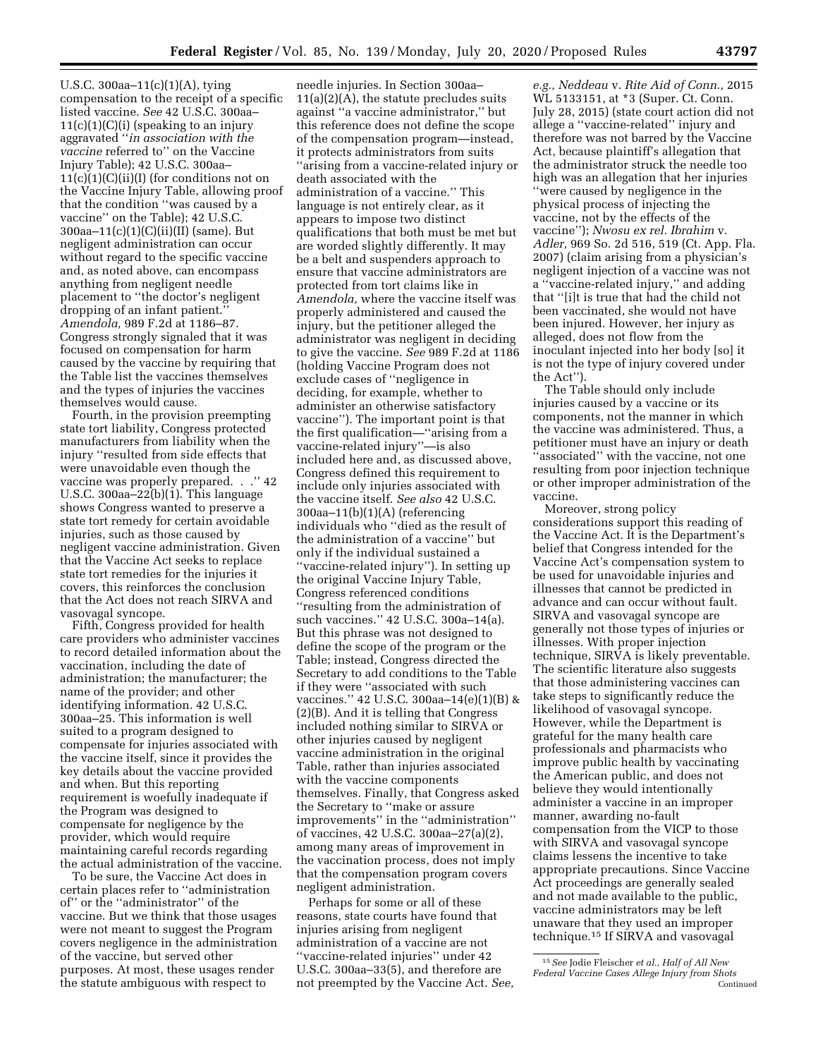U.S.C. 300aa–11(c)(1)(A), tying compensation to the receipt of a specific listed vaccine. *See* 42 U.S.C. 300aa–  $11(c)(1)(C)(i)$  (speaking to an injury aggravated ''*in association with the vaccine* referred to'' on the Vaccine Injury Table); 42 U.S.C. 300aa–  $11(c)(1)(C)(ii)(I)$  (for conditions not on the Vaccine Injury Table, allowing proof that the condition ''was caused by a vaccine'' on the Table); 42 U.S.C. 300aa–11(c)(1)(C)(ii)(II) (same). But negligent administration can occur without regard to the specific vaccine and, as noted above, can encompass anything from negligent needle placement to ''the doctor's negligent dropping of an infant patient.'' *Amendola,* 989 F.2d at 1186–87. Congress strongly signaled that it was focused on compensation for harm caused by the vaccine by requiring that the Table list the vaccines themselves and the types of injuries the vaccines themselves would cause.

Fourth, in the provision preempting state tort liability, Congress protected manufacturers from liability when the injury ''resulted from side effects that were unavoidable even though the vaccine was properly prepared. . .'' 42 U.S.C. 300aa–22(b)(1). This language shows Congress wanted to preserve a state tort remedy for certain avoidable injuries, such as those caused by negligent vaccine administration. Given that the Vaccine Act seeks to replace state tort remedies for the injuries it covers, this reinforces the conclusion that the Act does not reach SIRVA and vasovagal syncope.

Fifth, Congress provided for health care providers who administer vaccines to record detailed information about the vaccination, including the date of administration; the manufacturer; the name of the provider; and other identifying information. 42 U.S.C. 300aa–25. This information is well suited to a program designed to compensate for injuries associated with the vaccine itself, since it provides the key details about the vaccine provided and when. But this reporting requirement is woefully inadequate if the Program was designed to compensate for negligence by the provider, which would require maintaining careful records regarding the actual administration of the vaccine.

To be sure, the Vaccine Act does in certain places refer to ''administration of'' or the ''administrator'' of the vaccine. But we think that those usages were not meant to suggest the Program covers negligence in the administration of the vaccine, but served other purposes. At most, these usages render the statute ambiguous with respect to

needle injuries. In Section 300aa–  $11(a)(2)(A)$ , the statute precludes suits against ''a vaccine administrator,'' but this reference does not define the scope of the compensation program—instead, it protects administrators from suits ''arising from a vaccine-related injury or death associated with the administration of a vaccine.'' This language is not entirely clear, as it appears to impose two distinct qualifications that both must be met but are worded slightly differently. It may be a belt and suspenders approach to ensure that vaccine administrators are protected from tort claims like in *Amendola,* where the vaccine itself was properly administered and caused the injury, but the petitioner alleged the administrator was negligent in deciding to give the vaccine. *See* 989 F.2d at 1186 (holding Vaccine Program does not exclude cases of ''negligence in deciding, for example, whether to administer an otherwise satisfactory vaccine''). The important point is that the first qualification—''arising from a vaccine-related injury''—is also included here and, as discussed above, Congress defined this requirement to include only injuries associated with the vaccine itself. *See also* 42 U.S.C. 300aa–11(b)(1)(A) (referencing individuals who ''died as the result of the administration of a vaccine'' but only if the individual sustained a ''vaccine-related injury''). In setting up the original Vaccine Injury Table, Congress referenced conditions ''resulting from the administration of such vaccines.'' 42 U.S.C. 300a–14(a). But this phrase was not designed to define the scope of the program or the Table; instead, Congress directed the Secretary to add conditions to the Table if they were ''associated with such vaccines.'' 42 U.S.C. 300aa–14(e)(1)(B) & (2)(B). And it is telling that Congress included nothing similar to SIRVA or other injuries caused by negligent vaccine administration in the original Table, rather than injuries associated with the vaccine components themselves. Finally, that Congress asked the Secretary to ''make or assure improvements'' in the ''administration'' of vaccines, 42 U.S.C. 300aa–27(a)(2), among many areas of improvement in the vaccination process, does not imply that the compensation program covers negligent administration.

Perhaps for some or all of these reasons, state courts have found that injuries arising from negligent administration of a vaccine are not ''vaccine-related injuries'' under 42 U.S.C. 300aa–33(5), and therefore are not preempted by the Vaccine Act. *See,* 

*e.g., Neddeau* v. *Rite Aid of Conn.,* 2015 WL 5133151, at \*3 (Super. Ct. Conn. July 28, 2015) (state court action did not allege a ''vaccine-related'' injury and therefore was not barred by the Vaccine Act, because plaintiff's allegation that the administrator struck the needle too high was an allegation that her injuries ''were caused by negligence in the physical process of injecting the vaccine, not by the effects of the vaccine''); *Nwosu ex rel. Ibrahim* v. *Adler,* 969 So. 2d 516, 519 (Ct. App. Fla. 2007) (claim arising from a physician's negligent injection of a vaccine was not a ''vaccine-related injury,'' and adding that ''[i]t is true that had the child not been vaccinated, she would not have been injured. However, her injury as alleged, does not flow from the inoculant injected into her body [so] it is not the type of injury covered under the Act'').

The Table should only include injuries caused by a vaccine or its components, not the manner in which the vaccine was administered. Thus, a petitioner must have an injury or death ''associated'' with the vaccine, not one resulting from poor injection technique or other improper administration of the vaccine.

Moreover, strong policy considerations support this reading of the Vaccine Act. It is the Department's belief that Congress intended for the Vaccine Act's compensation system to be used for unavoidable injuries and illnesses that cannot be predicted in advance and can occur without fault. SIRVA and vasovagal syncope are generally not those types of injuries or illnesses. With proper injection technique, SIRVA is likely preventable. The scientific literature also suggests that those administering vaccines can take steps to significantly reduce the likelihood of vasovagal syncope. However, while the Department is grateful for the many health care professionals and pharmacists who improve public health by vaccinating the American public, and does not believe they would intentionally administer a vaccine in an improper manner, awarding no-fault compensation from the VICP to those with SIRVA and vasovagal syncope claims lessens the incentive to take appropriate precautions. Since Vaccine Act proceedings are generally sealed and not made available to the public, vaccine administrators may be left unaware that they used an improper technique.15 If SIRVA and vasovagal

<sup>15</sup>*See* Jodie Fleischer *et al., Half of All New Federal Vaccine Cases Allege Injury from Shots*  Continued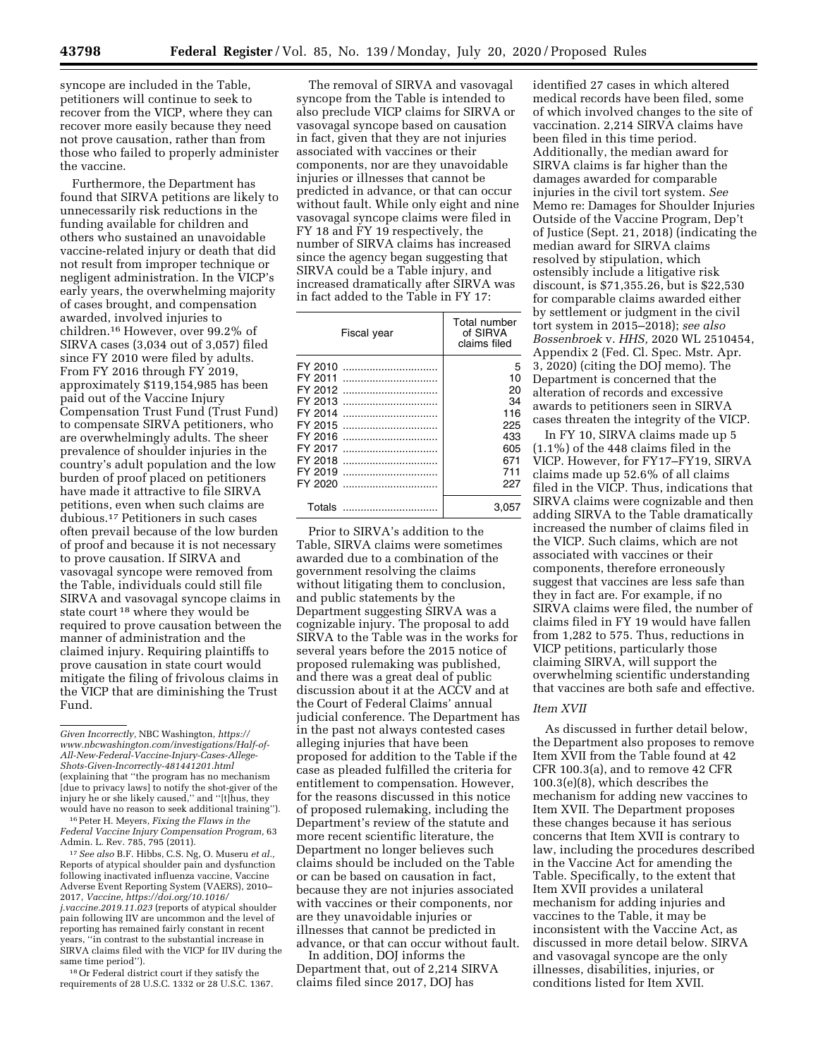syncope are included in the Table, petitioners will continue to seek to recover from the VICP, where they can recover more easily because they need not prove causation, rather than from those who failed to properly administer the vaccine.

Furthermore, the Department has found that SIRVA petitions are likely to unnecessarily risk reductions in the funding available for children and others who sustained an unavoidable vaccine-related injury or death that did not result from improper technique or negligent administration. In the VICP's early years, the overwhelming majority of cases brought, and compensation awarded, involved injuries to children.16 However, over 99.2% of SIRVA cases (3,034 out of 3,057) filed since FY 2010 were filed by adults. From FY 2016 through FY 2019, approximately \$119,154,985 has been paid out of the Vaccine Injury Compensation Trust Fund (Trust Fund) to compensate SIRVA petitioners, who are overwhelmingly adults. The sheer prevalence of shoulder injuries in the country's adult population and the low burden of proof placed on petitioners have made it attractive to file SIRVA petitions, even when such claims are dubious.17 Petitioners in such cases often prevail because of the low burden of proof and because it is not necessary to prove causation. If SIRVA and vasovagal syncope were removed from the Table, individuals could still file SIRVA and vasovagal syncope claims in state court 18 where they would be required to prove causation between the manner of administration and the claimed injury. Requiring plaintiffs to prove causation in state court would mitigate the filing of frivolous claims in the VICP that are diminishing the Trust Fund.

16Peter H. Meyers, *Fixing the Flaws in the Federal Vaccine Injury Compensation Program,* 63 Admin. L. Rev. 785, 795 (2011).

17*See also* B.F. Hibbs, C.S. Ng, O. Museru *et al.,*  Reports of atypical shoulder pain and dysfunction following inactivated influenza vaccine, Vaccine Adverse Event Reporting System (VAERS), 2010– 2017, *Vaccine, [https://doi.org/10.1016/](https://doi.org/10.1016/j.vaccine.2019.11.023) [j.vaccine.2019.11.023](https://doi.org/10.1016/j.vaccine.2019.11.023)* (reports of atypical shoulder pain following IIV are uncommon and the level of reporting has remained fairly constant in recent years, ''in contrast to the substantial increase in SIRVA claims filed with the VICP for IIV during the same time period'').

18Or Federal district court if they satisfy the requirements of 28 U.S.C. 1332 or 28 U.S.C. 1367.

The removal of SIRVA and vasovagal syncope from the Table is intended to also preclude VICP claims for SIRVA or vasovagal syncope based on causation in fact, given that they are not injuries associated with vaccines or their components, nor are they unavoidable injuries or illnesses that cannot be predicted in advance, or that can occur without fault. While only eight and nine vasovagal syncope claims were filed in FY 18 and FY 19 respectively, the number of SIRVA claims has increased since the agency began suggesting that SIRVA could be a Table injury, and increased dramatically after SIRVA was in fact added to the Table in FY 17:

| Fiscal year                                                                                                           | Total number<br>of SIRVA<br>claims filed                             |
|-----------------------------------------------------------------------------------------------------------------------|----------------------------------------------------------------------|
| FY 2010<br>FY 2011<br>FY 2012<br>FY 2013<br>FY 2014<br>FY 2015<br>FY 2016<br>FY 2017<br>FY 2018<br>FY 2019<br>FY 2020 | 5<br>10<br>20<br>34<br>116<br>225<br>433<br>605<br>671<br>711<br>227 |
| Totals                                                                                                                | 3.05                                                                 |

Prior to SIRVA's addition to the Table, SIRVA claims were sometimes awarded due to a combination of the government resolving the claims without litigating them to conclusion, and public statements by the Department suggesting SIRVA was a cognizable injury. The proposal to add SIRVA to the Table was in the works for several years before the 2015 notice of proposed rulemaking was published, and there was a great deal of public discussion about it at the ACCV and at the Court of Federal Claims' annual judicial conference. The Department has in the past not always contested cases alleging injuries that have been proposed for addition to the Table if the case as pleaded fulfilled the criteria for entitlement to compensation. However, for the reasons discussed in this notice of proposed rulemaking, including the Department's review of the statute and more recent scientific literature, the Department no longer believes such claims should be included on the Table or can be based on causation in fact, because they are not injuries associated with vaccines or their components, nor are they unavoidable injuries or illnesses that cannot be predicted in advance, or that can occur without fault.

In addition, DOJ informs the Department that, out of 2,214 SIRVA claims filed since 2017, DOJ has

identified 27 cases in which altered medical records have been filed, some of which involved changes to the site of vaccination. 2,214 SIRVA claims have been filed in this time period. Additionally, the median award for SIRVA claims is far higher than the damages awarded for comparable injuries in the civil tort system. *See*  Memo re: Damages for Shoulder Injuries Outside of the Vaccine Program, Dep't of Justice (Sept. 21, 2018) (indicating the median award for SIRVA claims resolved by stipulation, which ostensibly include a litigative risk discount, is \$71,355.26, but is \$22,530 for comparable claims awarded either by settlement or judgment in the civil tort system in 2015–2018); *see also Bossenbroek* v. *HHS,* 2020 WL 2510454, Appendix 2 (Fed. Cl. Spec. Mstr. Apr. 3, 2020) (citing the DOJ memo). The Department is concerned that the alteration of records and excessive awards to petitioners seen in SIRVA cases threaten the integrity of the VICP.

In FY 10, SIRVA claims made up 5 (1.1%) of the 448 claims filed in the VICP. However, for FY17–FY19, SIRVA claims made up 52.6% of all claims filed in the VICP. Thus, indications that SIRVA claims were cognizable and then adding SIRVA to the Table dramatically increased the number of claims filed in the VICP. Such claims, which are not associated with vaccines or their components, therefore erroneously suggest that vaccines are less safe than they in fact are. For example, if no SIRVA claims were filed, the number of claims filed in FY 19 would have fallen from 1,282 to 575. Thus, reductions in VICP petitions, particularly those claiming SIRVA, will support the overwhelming scientific understanding that vaccines are both safe and effective.

### *Item XVII*

As discussed in further detail below, the Department also proposes to remove Item XVII from the Table found at 42 CFR 100.3(a), and to remove 42 CFR 100.3(e)(8), which describes the mechanism for adding new vaccines to Item XVII. The Department proposes these changes because it has serious concerns that Item XVII is contrary to law, including the procedures described in the Vaccine Act for amending the Table. Specifically, to the extent that Item XVII provides a unilateral mechanism for adding injuries and vaccines to the Table, it may be inconsistent with the Vaccine Act, as discussed in more detail below. SIRVA and vasovagal syncope are the only illnesses, disabilities, injuries, or conditions listed for Item XVII.

*Given Incorrectly,* NBC Washington, *[https://](https://www.nbcwashington.com/investigations/Half-of-All-New-Federal-Vaccine-Injury-Cases-Allege-Shots-Given-Incorrectly-481441201.html) [www.nbcwashington.com/investigations/Half-of-](https://www.nbcwashington.com/investigations/Half-of-All-New-Federal-Vaccine-Injury-Cases-Allege-Shots-Given-Incorrectly-481441201.html)[All-New-Federal-Vaccine-Injury-Cases-Allege-](https://www.nbcwashington.com/investigations/Half-of-All-New-Federal-Vaccine-Injury-Cases-Allege-Shots-Given-Incorrectly-481441201.html)[Shots-Given-Incorrectly-481441201.html](https://www.nbcwashington.com/investigations/Half-of-All-New-Federal-Vaccine-Injury-Cases-Allege-Shots-Given-Incorrectly-481441201.html)*  (explaining that ''the program has no mechanism [due to privacy laws] to notify the shot-giver of the injury he or she likely caused,'' and ''[t]hus, they would have no reason to seek additional training'').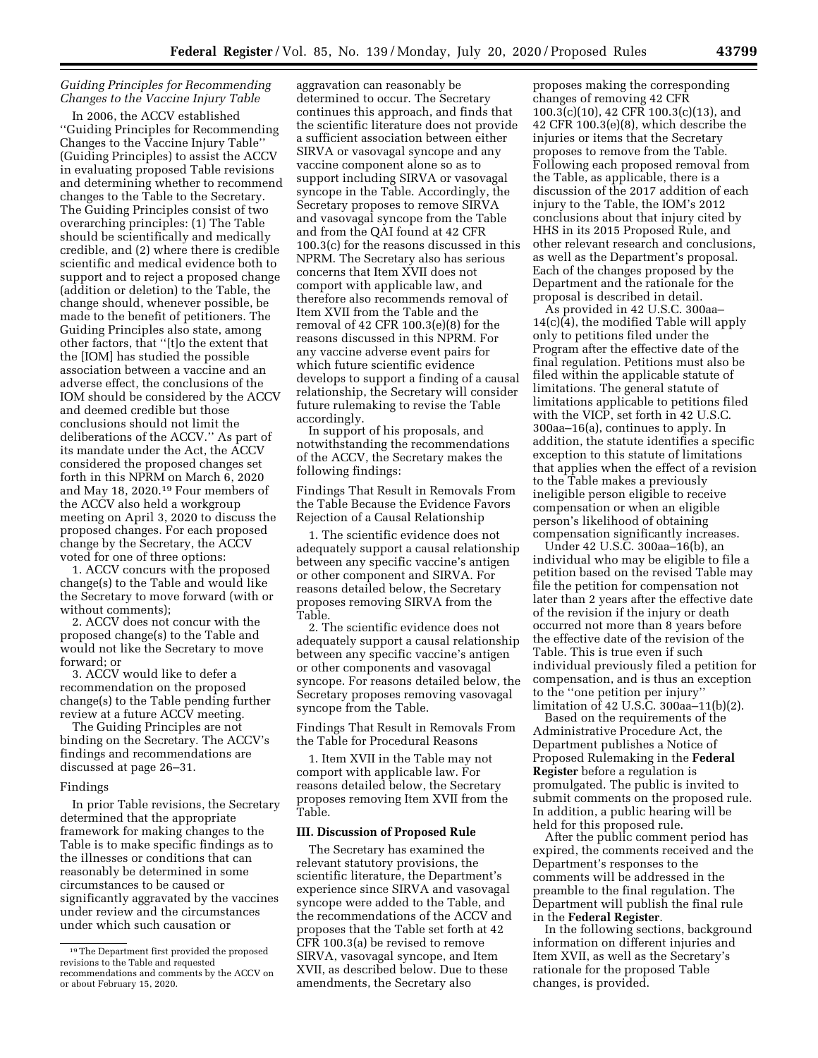# *Guiding Principles for Recommending Changes to the Vaccine Injury Table*

In 2006, the ACCV established ''Guiding Principles for Recommending Changes to the Vaccine Injury Table'' (Guiding Principles) to assist the ACCV in evaluating proposed Table revisions and determining whether to recommend changes to the Table to the Secretary. The Guiding Principles consist of two overarching principles: (1) The Table should be scientifically and medically credible, and (2) where there is credible scientific and medical evidence both to support and to reject a proposed change (addition or deletion) to the Table, the change should, whenever possible, be made to the benefit of petitioners. The Guiding Principles also state, among other factors, that ''[t]o the extent that the [IOM] has studied the possible association between a vaccine and an adverse effect, the conclusions of the IOM should be considered by the ACCV and deemed credible but those conclusions should not limit the deliberations of the ACCV.'' As part of its mandate under the Act, the ACCV considered the proposed changes set forth in this NPRM on March 6, 2020 and May 18, 2020.19 Four members of the ACCV also held a workgroup meeting on April 3, 2020 to discuss the proposed changes. For each proposed change by the Secretary, the ACCV voted for one of three options:

1. ACCV concurs with the proposed change(s) to the Table and would like the Secretary to move forward (with or without comments);

2. ACCV does not concur with the proposed change(s) to the Table and would not like the Secretary to move forward; or

3. ACCV would like to defer a recommendation on the proposed change(s) to the Table pending further review at a future ACCV meeting.

The Guiding Principles are not binding on the Secretary. The ACCV's findings and recommendations are discussed at page 26–31.

#### Findings

In prior Table revisions, the Secretary determined that the appropriate framework for making changes to the Table is to make specific findings as to the illnesses or conditions that can reasonably be determined in some circumstances to be caused or significantly aggravated by the vaccines under review and the circumstances under which such causation or

aggravation can reasonably be determined to occur. The Secretary continues this approach, and finds that the scientific literature does not provide a sufficient association between either SIRVA or vasovagal syncope and any vaccine component alone so as to support including SIRVA or vasovagal syncope in the Table. Accordingly, the Secretary proposes to remove SIRVA and vasovagal syncope from the Table and from the QAI found at 42 CFR 100.3(c) for the reasons discussed in this NPRM. The Secretary also has serious concerns that Item XVII does not comport with applicable law, and therefore also recommends removal of Item XVII from the Table and the removal of 42 CFR 100.3(e)(8) for the reasons discussed in this NPRM. For any vaccine adverse event pairs for which future scientific evidence develops to support a finding of a causal relationship, the Secretary will consider future rulemaking to revise the Table accordingly.

In support of his proposals, and notwithstanding the recommendations of the ACCV, the Secretary makes the following findings:

Findings That Result in Removals From the Table Because the Evidence Favors Rejection of a Causal Relationship

1. The scientific evidence does not adequately support a causal relationship between any specific vaccine's antigen or other component and SIRVA. For reasons detailed below, the Secretary proposes removing SIRVA from the Table.

2. The scientific evidence does not adequately support a causal relationship between any specific vaccine's antigen or other components and vasovagal syncope. For reasons detailed below, the Secretary proposes removing vasovagal syncope from the Table.

Findings That Result in Removals From the Table for Procedural Reasons

1. Item XVII in the Table may not comport with applicable law. For reasons detailed below, the Secretary proposes removing Item XVII from the Table.

#### **III. Discussion of Proposed Rule**

The Secretary has examined the relevant statutory provisions, the scientific literature, the Department's experience since SIRVA and vasovagal syncope were added to the Table, and the recommendations of the ACCV and proposes that the Table set forth at 42 CFR 100.3(a) be revised to remove SIRVA, vasovagal syncope, and Item XVII, as described below. Due to these amendments, the Secretary also

proposes making the corresponding changes of removing 42 CFR 100.3(c)(10), 42 CFR 100.3(c)(13), and 42 CFR 100.3(e)(8), which describe the injuries or items that the Secretary proposes to remove from the Table. Following each proposed removal from the Table, as applicable, there is a discussion of the 2017 addition of each injury to the Table, the IOM's 2012 conclusions about that injury cited by HHS in its 2015 Proposed Rule, and other relevant research and conclusions, as well as the Department's proposal. Each of the changes proposed by the Department and the rationale for the proposal is described in detail.

As provided in 42 U.S.C. 300aa– 14(c)(4), the modified Table will apply only to petitions filed under the Program after the effective date of the final regulation. Petitions must also be filed within the applicable statute of limitations. The general statute of limitations applicable to petitions filed with the VICP, set forth in 42 U.S.C. 300aa–16(a), continues to apply. In addition, the statute identifies a specific exception to this statute of limitations that applies when the effect of a revision to the Table makes a previously ineligible person eligible to receive compensation or when an eligible person's likelihood of obtaining compensation significantly increases.

Under 42 U.S.C. 300aa–16(b), an individual who may be eligible to file a petition based on the revised Table may file the petition for compensation not later than 2 years after the effective date of the revision if the injury or death occurred not more than 8 years before the effective date of the revision of the Table. This is true even if such individual previously filed a petition for compensation, and is thus an exception to the ''one petition per injury'' limitation of 42 U.S.C. 300aa–11(b)(2).

Based on the requirements of the Administrative Procedure Act, the Department publishes a Notice of Proposed Rulemaking in the **Federal Register** before a regulation is promulgated. The public is invited to submit comments on the proposed rule. In addition, a public hearing will be held for this proposed rule.

After the public comment period has expired, the comments received and the Department's responses to the comments will be addressed in the preamble to the final regulation. The Department will publish the final rule in the **Federal Register**.

In the following sections, background information on different injuries and Item XVII, as well as the Secretary's rationale for the proposed Table changes, is provided.

<sup>19</sup>The Department first provided the proposed revisions to the Table and requested recommendations and comments by the ACCV on or about February 15, 2020.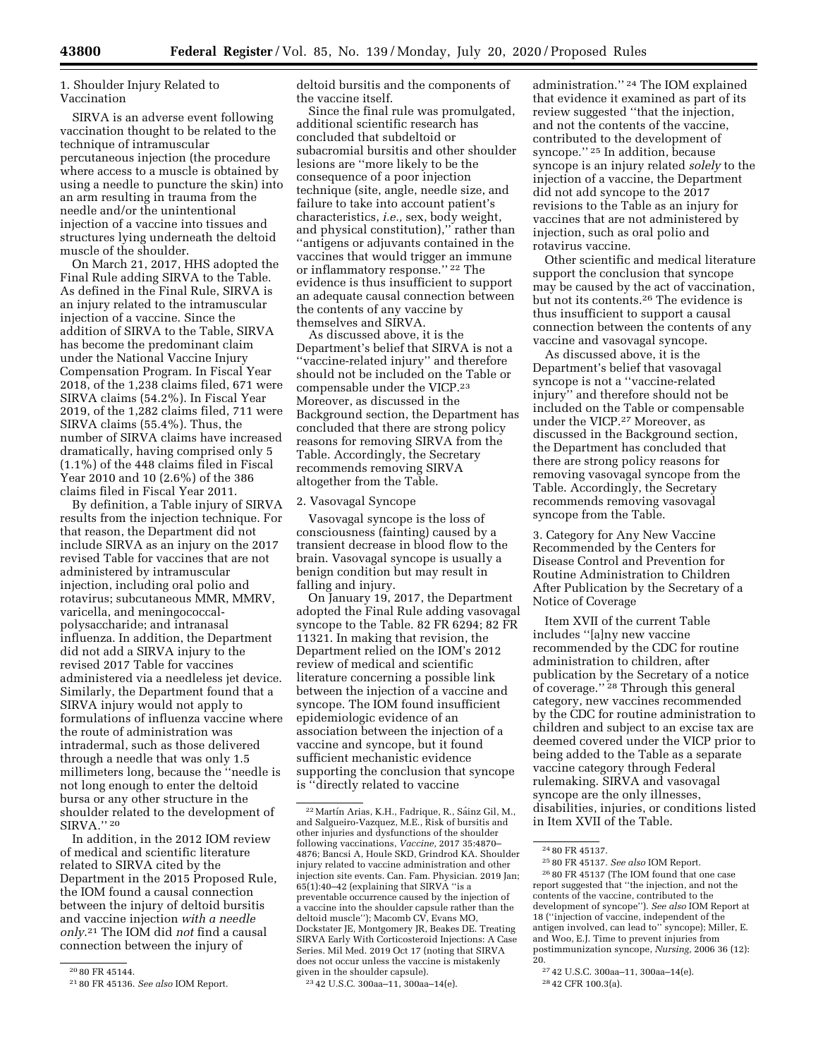1. Shoulder Injury Related to Vaccination

SIRVA is an adverse event following vaccination thought to be related to the technique of intramuscular percutaneous injection (the procedure where access to a muscle is obtained by using a needle to puncture the skin) into an arm resulting in trauma from the needle and/or the unintentional injection of a vaccine into tissues and structures lying underneath the deltoid muscle of the shoulder.

On March 21, 2017, HHS adopted the Final Rule adding SIRVA to the Table. As defined in the Final Rule, SIRVA is an injury related to the intramuscular injection of a vaccine. Since the addition of SIRVA to the Table, SIRVA has become the predominant claim under the National Vaccine Injury Compensation Program. In Fiscal Year 2018, of the 1,238 claims filed, 671 were SIRVA claims (54.2%). In Fiscal Year 2019, of the 1,282 claims filed, 711 were SIRVA claims (55.4%). Thus, the number of SIRVA claims have increased dramatically, having comprised only 5 (1.1%) of the 448 claims filed in Fiscal Year 2010 and 10 (2.6%) of the 386 claims filed in Fiscal Year 2011.

By definition, a Table injury of SIRVA results from the injection technique. For that reason, the Department did not include SIRVA as an injury on the 2017 revised Table for vaccines that are not administered by intramuscular injection, including oral polio and rotavirus; subcutaneous MMR, MMRV, varicella, and meningococcalpolysaccharide; and intranasal influenza. In addition, the Department did not add a SIRVA injury to the revised 2017 Table for vaccines administered via a needleless jet device. Similarly, the Department found that a SIRVA injury would not apply to formulations of influenza vaccine where the route of administration was intradermal, such as those delivered through a needle that was only 1.5 millimeters long, because the ''needle is not long enough to enter the deltoid bursa or any other structure in the shoulder related to the development of SIRVA." 20

In addition, in the 2012 IOM review of medical and scientific literature related to SIRVA cited by the Department in the 2015 Proposed Rule, the IOM found a causal connection between the injury of deltoid bursitis and vaccine injection *with a needle only*.21 The IOM did *not* find a causal connection between the injury of

deltoid bursitis and the components of the vaccine itself.

Since the final rule was promulgated, additional scientific research has concluded that subdeltoid or subacromial bursitis and other shoulder lesions are ''more likely to be the consequence of a poor injection technique (site, angle, needle size, and failure to take into account patient's characteristics, *i.e.,* sex, body weight, and physical constitution),'' rather than ''antigens or adjuvants contained in the vaccines that would trigger an immune or inflammatory response.'' 22 The evidence is thus insufficient to support an adequate causal connection between the contents of any vaccine by themselves and SIRVA.

As discussed above, it is the Department's belief that SIRVA is not a ''vaccine-related injury'' and therefore should not be included on the Table or compensable under the VICP.23 Moreover, as discussed in the Background section, the Department has concluded that there are strong policy reasons for removing SIRVA from the Table. Accordingly, the Secretary recommends removing SIRVA altogether from the Table.

#### 2. Vasovagal Syncope

Vasovagal syncope is the loss of consciousness (fainting) caused by a transient decrease in blood flow to the brain. Vasovagal syncope is usually a benign condition but may result in falling and injury.

On January 19, 2017, the Department adopted the Final Rule adding vasovagal syncope to the Table. 82 FR 6294; 82 FR 11321. In making that revision, the Department relied on the IOM's 2012 review of medical and scientific literature concerning a possible link between the injection of a vaccine and syncope. The IOM found insufficient epidemiologic evidence of an association between the injection of a vaccine and syncope, but it found sufficient mechanistic evidence supporting the conclusion that syncope is ''directly related to vaccine

23 42 U.S.C. 300aa–11, 300aa–14(e).

administration.'' 24 The IOM explained that evidence it examined as part of its review suggested ''that the injection, and not the contents of the vaccine, contributed to the development of syncope.'' 25 In addition, because syncope is an injury related *solely* to the injection of a vaccine, the Department did not add syncope to the 2017 revisions to the Table as an injury for vaccines that are not administered by injection, such as oral polio and rotavirus vaccine.

Other scientific and medical literature support the conclusion that syncope may be caused by the act of vaccination, but not its contents.26 The evidence is thus insufficient to support a causal connection between the contents of any vaccine and vasovagal syncope.

As discussed above, it is the Department's belief that vasovagal syncope is not a ''vaccine-related injury'' and therefore should not be included on the Table or compensable under the VICP.27 Moreover, as discussed in the Background section, the Department has concluded that there are strong policy reasons for removing vasovagal syncope from the Table. Accordingly, the Secretary recommends removing vasovagal syncope from the Table.

3. Category for Any New Vaccine Recommended by the Centers for Disease Control and Prevention for Routine Administration to Children After Publication by the Secretary of a Notice of Coverage

Item XVII of the current Table includes ''[a]ny new vaccine recommended by the CDC for routine administration to children, after publication by the Secretary of a notice of coverage.'' 28 Through this general category, new vaccines recommended by the CDC for routine administration to children and subject to an excise tax are deemed covered under the VICP prior to being added to the Table as a separate vaccine category through Federal rulemaking. SIRVA and vasovagal syncope are the only illnesses, disabilities, injuries, or conditions listed in Item XVII of the Table.

<sup>20</sup> 80 FR 45144.

<sup>21</sup> 80 FR 45136. *See also* IOM Report.

<sup>&</sup>lt;sup>22</sup> Martín Arias, K.H., Fadrique, R., Sáinz Gil, M., and Salgueiro-Vazquez, M.E., Risk of bursitis and other injuries and dysfunctions of the shoulder following vaccinations, *Vaccine,* 2017 35:4870– 4876; Bancsi A, Houle SKD, Grindrod KA. Shoulder injury related to vaccine administration and other injection site events. Can. Fam. Physician. 2019 Jan; 65(1):40–42 (explaining that SIRVA ''is a preventable occurrence caused by the injection of a vaccine into the shoulder capsule rather than the deltoid muscle''); Macomb CV, Evans MO, Dockstater JE, Montgomery JR, Beakes DE. Treating SIRVA Early With Corticosteroid Injections: A Case Series. Mil Med. 2019 Oct 17 (noting that SIRVA does not occur unless the vaccine is mistakenly given in the shoulder capsule).

<sup>24</sup> 80 FR 45137.

<sup>25</sup> 80 FR 45137. *See also* IOM Report.

<sup>26</sup> 80 FR 45137 (The IOM found that one case report suggested that ''the injection, and not the contents of the vaccine, contributed to the development of syncope''). *See also* IOM Report at 18 (''injection of vaccine, independent of the antigen involved, can lead to'' syncope); Miller, E. and Woo, E.J. Time to prevent injuries from postimmunization syncope, *Nursing,* 2006 36 (12): 20.

<sup>27</sup> 42 U.S.C. 300aa–11, 300aa–14(e).

<sup>28</sup> 42 CFR 100.3(a).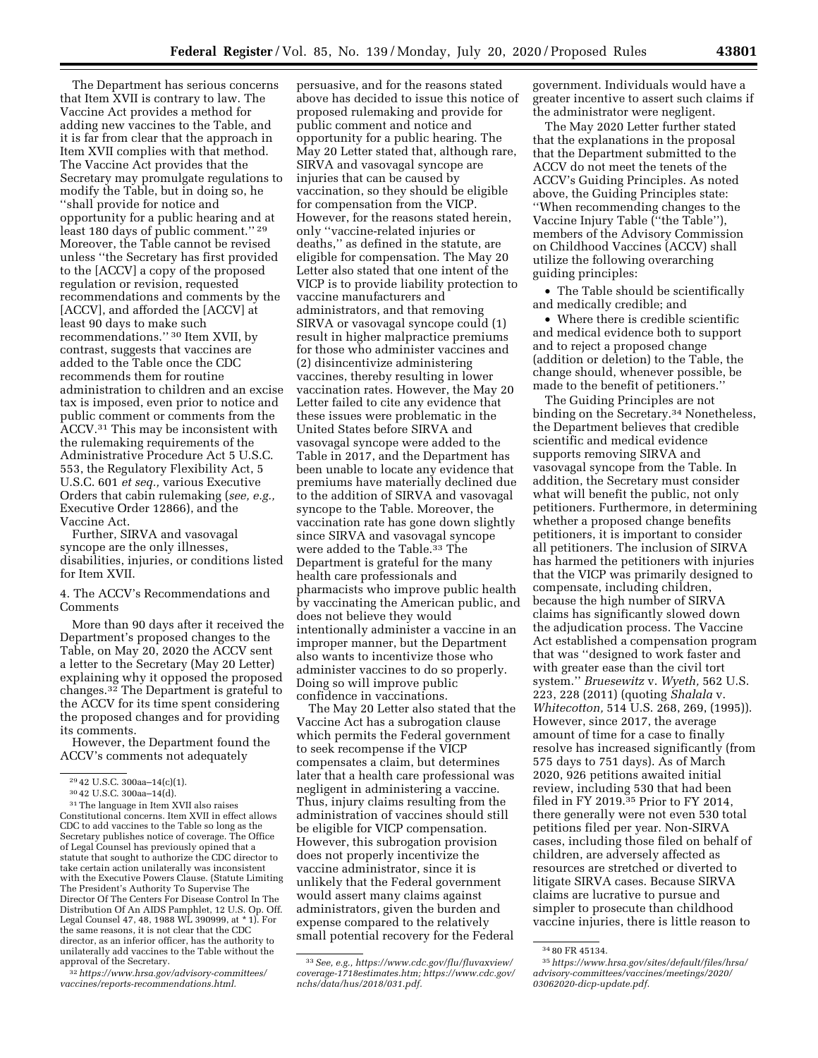The Department has serious concerns that Item XVII is contrary to law. The Vaccine Act provides a method for adding new vaccines to the Table, and it is far from clear that the approach in Item XVII complies with that method. The Vaccine Act provides that the Secretary may promulgate regulations to modify the Table, but in doing so, he ''shall provide for notice and opportunity for a public hearing and at least 180 days of public comment.'' 29 Moreover, the Table cannot be revised unless ''the Secretary has first provided to the [ACCV] a copy of the proposed regulation or revision, requested recommendations and comments by the [ACCV], and afforded the [ACCV] at least 90 days to make such recommendations.'' 30 Item XVII, by contrast, suggests that vaccines are added to the Table once the CDC recommends them for routine administration to children and an excise tax is imposed, even prior to notice and public comment or comments from the ACCV.31 This may be inconsistent with the rulemaking requirements of the Administrative Procedure Act 5 U.S.C. 553, the Regulatory Flexibility Act, 5 U.S.C. 601 *et seq.,* various Executive Orders that cabin rulemaking (*see, e.g.,*  Executive Order 12866), and the Vaccine Act.

Further, SIRVA and vasovagal syncope are the only illnesses, disabilities, injuries, or conditions listed for Item XVII.

4. The ACCV's Recommendations and Comments

More than 90 days after it received the Department's proposed changes to the Table, on May 20, 2020 the ACCV sent a letter to the Secretary (May 20 Letter) explaining why it opposed the proposed changes.32 The Department is grateful to the ACCV for its time spent considering the proposed changes and for providing its comments.

However, the Department found the ACCV's comments not adequately

32*[https://www.hrsa.gov/advisory-committees/](https://www.hrsa.gov/advisory-committees/vaccines/reports-recommendations.html)  [vaccines/reports-recommendations.html.](https://www.hrsa.gov/advisory-committees/vaccines/reports-recommendations.html)* 

persuasive, and for the reasons stated above has decided to issue this notice of proposed rulemaking and provide for public comment and notice and opportunity for a public hearing. The May 20 Letter stated that, although rare, SIRVA and vasovagal syncope are injuries that can be caused by vaccination, so they should be eligible for compensation from the VICP. However, for the reasons stated herein, only ''vaccine-related injuries or deaths,'' as defined in the statute, are eligible for compensation. The May 20 Letter also stated that one intent of the VICP is to provide liability protection to vaccine manufacturers and administrators, and that removing SIRVA or vasovagal syncope could (1) result in higher malpractice premiums for those who administer vaccines and (2) disincentivize administering vaccines, thereby resulting in lower vaccination rates. However, the May 20 Letter failed to cite any evidence that these issues were problematic in the United States before SIRVA and vasovagal syncope were added to the Table in 2017, and the Department has been unable to locate any evidence that premiums have materially declined due to the addition of SIRVA and vasovagal syncope to the Table. Moreover, the vaccination rate has gone down slightly since SIRVA and vasovagal syncope were added to the Table.33 The Department is grateful for the many health care professionals and pharmacists who improve public health by vaccinating the American public, and does not believe they would intentionally administer a vaccine in an improper manner, but the Department also wants to incentivize those who administer vaccines to do so properly. Doing so will improve public confidence in vaccinations.

The May 20 Letter also stated that the Vaccine Act has a subrogation clause which permits the Federal government to seek recompense if the VICP compensates a claim, but determines later that a health care professional was negligent in administering a vaccine. Thus, injury claims resulting from the administration of vaccines should still be eligible for VICP compensation. However, this subrogation provision does not properly incentivize the vaccine administrator, since it is unlikely that the Federal government would assert many claims against administrators, given the burden and expense compared to the relatively small potential recovery for the Federal

government. Individuals would have a greater incentive to assert such claims if the administrator were negligent.

The May 2020 Letter further stated that the explanations in the proposal that the Department submitted to the ACCV do not meet the tenets of the ACCV's Guiding Principles. As noted above, the Guiding Principles state: ''When recommending changes to the Vaccine Injury Table (''the Table''), members of the Advisory Commission on Childhood Vaccines (ACCV) shall utilize the following overarching guiding principles:

• The Table should be scientifically and medically credible; and

• Where there is credible scientific and medical evidence both to support and to reject a proposed change (addition or deletion) to the Table, the change should, whenever possible, be made to the benefit of petitioners.''

The Guiding Principles are not binding on the Secretary.<sup>34</sup> Nonetheless, the Department believes that credible scientific and medical evidence supports removing SIRVA and vasovagal syncope from the Table. In addition, the Secretary must consider what will benefit the public, not only petitioners. Furthermore, in determining whether a proposed change benefits petitioners, it is important to consider all petitioners. The inclusion of SIRVA has harmed the petitioners with injuries that the VICP was primarily designed to compensate, including children, because the high number of SIRVA claims has significantly slowed down the adjudication process. The Vaccine Act established a compensation program that was ''designed to work faster and with greater ease than the civil tort system.'' *Bruesewitz* v. *Wyeth,* 562 U.S. 223, 228 (2011) (quoting *Shalala* v. *Whitecotton,* 514 U.S. 268, 269, (1995)). However, since 2017, the average amount of time for a case to finally resolve has increased significantly (from 575 days to 751 days). As of March 2020, 926 petitions awaited initial review, including 530 that had been filed in FY 2019.35 Prior to FY 2014, there generally were not even 530 total petitions filed per year. Non-SIRVA cases, including those filed on behalf of children, are adversely affected as resources are stretched or diverted to litigate SIRVA cases. Because SIRVA claims are lucrative to pursue and simpler to prosecute than childhood vaccine injuries, there is little reason to

<sup>&</sup>lt;sup>29</sup> 42 U.S.C. 300aa–14(c)(1).<br><sup>30</sup> 42 U.S.C. 300aa–14(d).<br><sup>31</sup> The language in Item XVII also raises Constitutional concerns. Item XVII in effect allows CDC to add vaccines to the Table so long as the Secretary publishes notice of coverage. The Office of Legal Counsel has previously opined that a statute that sought to authorize the CDC director to take certain action unilaterally was inconsistent with the Executive Powers Clause. (Statute Limiting The President's Authority To Supervise The Director Of The Centers For Disease Control In The Distribution Of An AIDS Pamphlet, 12 U.S. Op. Off. Legal Counsel 47, 48, 1988 WL 390999, at \* 1). For the same reasons, it is not clear that the CDC director, as an inferior officer, has the authority to unilaterally add vaccines to the Table without the approval of the Secretary.

<sup>33</sup>*See, e.g., [https://www.cdc.gov/flu/fluvaxview/](https://www.cdc.gov/flu/fluvaxview/coverage-1718estimates.htm)  [coverage-1718estimates.htm;](https://www.cdc.gov/flu/fluvaxview/coverage-1718estimates.htm) [https://www.cdc.gov/](https://www.cdc.gov/nchs/data/hus/2018/031.pdf)  [nchs/data/hus/2018/031.pdf.](https://www.cdc.gov/nchs/data/hus/2018/031.pdf)* 

<sup>34</sup> 80 FR 45134.

<sup>35</sup>*[https://www.hrsa.gov/sites/default/files/hrsa/](https://www.hrsa.gov/sites/default/files/hrsa/advisory-committees/vaccines/meetings/2020/03062020-dicp-update.pdf)  [advisory-committees/vaccines/meetings/2020/](https://www.hrsa.gov/sites/default/files/hrsa/advisory-committees/vaccines/meetings/2020/03062020-dicp-update.pdf) [03062020-dicp-update.pdf.](https://www.hrsa.gov/sites/default/files/hrsa/advisory-committees/vaccines/meetings/2020/03062020-dicp-update.pdf)*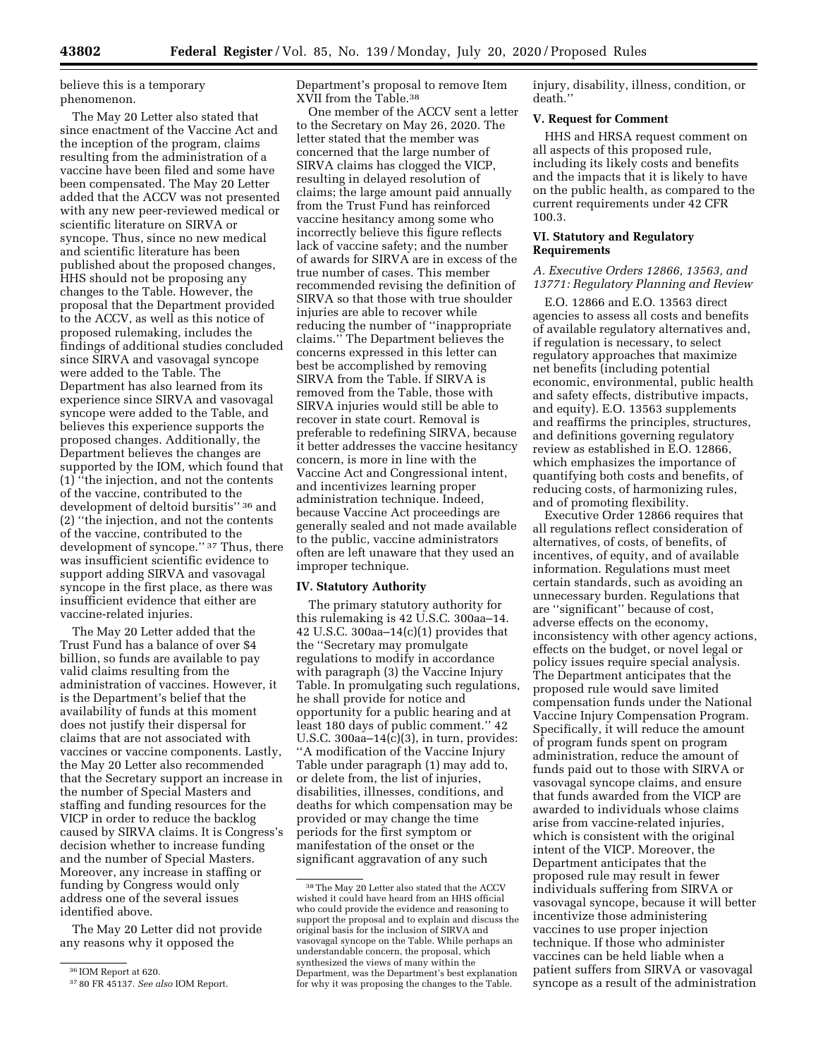believe this is a temporary phenomenon.

The May 20 Letter also stated that since enactment of the Vaccine Act and the inception of the program, claims resulting from the administration of a vaccine have been filed and some have been compensated. The May 20 Letter added that the ACCV was not presented with any new peer-reviewed medical or scientific literature on SIRVA or syncope. Thus, since no new medical and scientific literature has been published about the proposed changes, HHS should not be proposing any changes to the Table. However, the proposal that the Department provided to the ACCV, as well as this notice of proposed rulemaking, includes the findings of additional studies concluded since SIRVA and vasovagal syncope were added to the Table. The Department has also learned from its experience since SIRVA and vasovagal syncope were added to the Table, and believes this experience supports the proposed changes. Additionally, the Department believes the changes are supported by the IOM, which found that (1) ''the injection, and not the contents of the vaccine, contributed to the development of deltoid bursitis'' 36 and (2) ''the injection, and not the contents of the vaccine, contributed to the development of syncope.'' 37 Thus, there was insufficient scientific evidence to support adding SIRVA and vasovagal syncope in the first place, as there was insufficient evidence that either are vaccine-related injuries.

The May 20 Letter added that the Trust Fund has a balance of over \$4 billion, so funds are available to pay valid claims resulting from the administration of vaccines. However, it is the Department's belief that the availability of funds at this moment does not justify their dispersal for claims that are not associated with vaccines or vaccine components. Lastly, the May 20 Letter also recommended that the Secretary support an increase in the number of Special Masters and staffing and funding resources for the VICP in order to reduce the backlog caused by SIRVA claims. It is Congress's decision whether to increase funding and the number of Special Masters. Moreover, any increase in staffing or funding by Congress would only address one of the several issues identified above.

The May 20 Letter did not provide any reasons why it opposed the

Department's proposal to remove Item XVII from the Table.38

One member of the ACCV sent a letter to the Secretary on May 26, 2020. The letter stated that the member was concerned that the large number of SIRVA claims has clogged the VICP, resulting in delayed resolution of claims; the large amount paid annually from the Trust Fund has reinforced vaccine hesitancy among some who incorrectly believe this figure reflects lack of vaccine safety; and the number of awards for SIRVA are in excess of the true number of cases. This member recommended revising the definition of SIRVA so that those with true shoulder injuries are able to recover while reducing the number of ''inappropriate claims.'' The Department believes the concerns expressed in this letter can best be accomplished by removing SIRVA from the Table. If SIRVA is removed from the Table, those with SIRVA injuries would still be able to recover in state court. Removal is preferable to redefining SIRVA, because it better addresses the vaccine hesitancy concern, is more in line with the Vaccine Act and Congressional intent, and incentivizes learning proper administration technique. Indeed, because Vaccine Act proceedings are generally sealed and not made available to the public, vaccine administrators often are left unaware that they used an improper technique.

#### **IV. Statutory Authority**

The primary statutory authority for this rulemaking is 42 U.S.C. 300aa–14. 42 U.S.C. 300aa–14(c)(1) provides that the ''Secretary may promulgate regulations to modify in accordance with paragraph (3) the Vaccine Injury Table. In promulgating such regulations, he shall provide for notice and opportunity for a public hearing and at least 180 days of public comment.'' 42 U.S.C. 300aa $-14(c)(3)$ , in turn, provides: ''A modification of the Vaccine Injury Table under paragraph (1) may add to, or delete from, the list of injuries, disabilities, illnesses, conditions, and deaths for which compensation may be provided or may change the time periods for the first symptom or manifestation of the onset or the significant aggravation of any such

injury, disability, illness, condition, or death.''

### **V. Request for Comment**

HHS and HRSA request comment on all aspects of this proposed rule, including its likely costs and benefits and the impacts that it is likely to have on the public health, as compared to the current requirements under 42 CFR 100.3.

# **VI. Statutory and Regulatory Requirements**

### *A. Executive Orders 12866, 13563, and 13771: Regulatory Planning and Review*

E.O. 12866 and E.O. 13563 direct agencies to assess all costs and benefits of available regulatory alternatives and, if regulation is necessary, to select regulatory approaches that maximize net benefits (including potential economic, environmental, public health and safety effects, distributive impacts, and equity). E.O. 13563 supplements and reaffirms the principles, structures, and definitions governing regulatory review as established in E.O. 12866, which emphasizes the importance of quantifying both costs and benefits, of reducing costs, of harmonizing rules, and of promoting flexibility.

Executive Order 12866 requires that all regulations reflect consideration of alternatives, of costs, of benefits, of incentives, of equity, and of available information. Regulations must meet certain standards, such as avoiding an unnecessary burden. Regulations that are ''significant'' because of cost, adverse effects on the economy, inconsistency with other agency actions, effects on the budget, or novel legal or policy issues require special analysis. The Department anticipates that the proposed rule would save limited compensation funds under the National Vaccine Injury Compensation Program. Specifically, it will reduce the amount of program funds spent on program administration, reduce the amount of funds paid out to those with SIRVA or vasovagal syncope claims, and ensure that funds awarded from the VICP are awarded to individuals whose claims arise from vaccine-related injuries, which is consistent with the original intent of the VICP. Moreover, the Department anticipates that the proposed rule may result in fewer individuals suffering from SIRVA or vasovagal syncope, because it will better incentivize those administering vaccines to use proper injection technique. If those who administer vaccines can be held liable when a patient suffers from SIRVA or vasovagal syncope as a result of the administration

<sup>36</sup> IOM Report at 620.

<sup>37</sup> 80 FR 45137. *See also* IOM Report.

<sup>38</sup>The May 20 Letter also stated that the ACCV wished it could have heard from an HHS official who could provide the evidence and reasoning to support the proposal and to explain and discuss the original basis for the inclusion of SIRVA and vasovagal syncope on the Table. While perhaps an understandable concern, the proposal, which synthesized the views of many within the Department, was the Department's best explanation for why it was proposing the changes to the Table.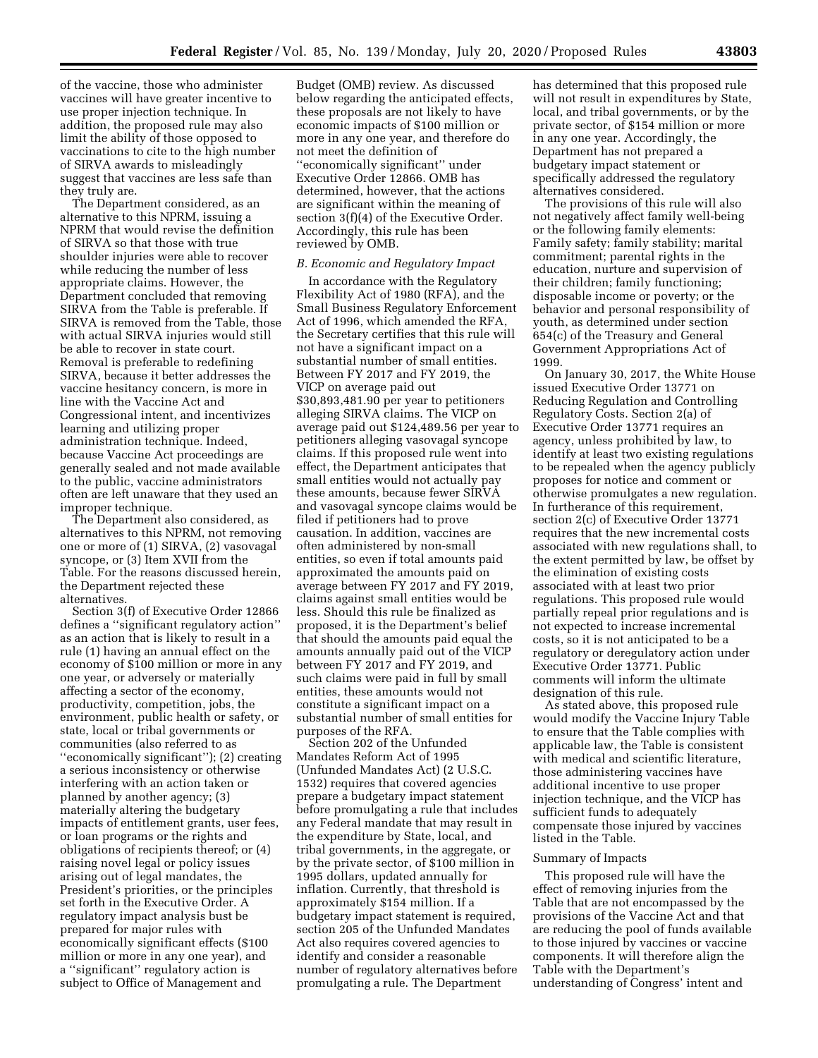of the vaccine, those who administer vaccines will have greater incentive to use proper injection technique. In addition, the proposed rule may also limit the ability of those opposed to vaccinations to cite to the high number of SIRVA awards to misleadingly suggest that vaccines are less safe than they truly are.

The Department considered, as an alternative to this NPRM, issuing a NPRM that would revise the definition of SIRVA so that those with true shoulder injuries were able to recover while reducing the number of less appropriate claims. However, the Department concluded that removing SIRVA from the Table is preferable. If SIRVA is removed from the Table, those with actual SIRVA injuries would still be able to recover in state court. Removal is preferable to redefining SIRVA, because it better addresses the vaccine hesitancy concern, is more in line with the Vaccine Act and Congressional intent, and incentivizes learning and utilizing proper administration technique. Indeed, because Vaccine Act proceedings are generally sealed and not made available to the public, vaccine administrators often are left unaware that they used an improper technique.

The Department also considered, as alternatives to this NPRM, not removing one or more of (1) SIRVA, (2) vasovagal syncope, or (3) Item XVII from the Table. For the reasons discussed herein, the Department rejected these alternatives.

Section 3(f) of Executive Order 12866 defines a ''significant regulatory action'' as an action that is likely to result in a rule (1) having an annual effect on the economy of \$100 million or more in any one year, or adversely or materially affecting a sector of the economy, productivity, competition, jobs, the environment, public health or safety, or state, local or tribal governments or communities (also referred to as ''economically significant''); (2) creating a serious inconsistency or otherwise interfering with an action taken or planned by another agency; (3) materially altering the budgetary impacts of entitlement grants, user fees, or loan programs or the rights and obligations of recipients thereof; or (4) raising novel legal or policy issues arising out of legal mandates, the President's priorities, or the principles set forth in the Executive Order. A regulatory impact analysis bust be prepared for major rules with economically significant effects (\$100 million or more in any one year), and a ''significant'' regulatory action is subject to Office of Management and

Budget (OMB) review. As discussed below regarding the anticipated effects, these proposals are not likely to have economic impacts of \$100 million or more in any one year, and therefore do not meet the definition of ''economically significant'' under Executive Order 12866. OMB has determined, however, that the actions are significant within the meaning of section 3(f)(4) of the Executive Order. Accordingly, this rule has been reviewed by OMB.

#### *B. Economic and Regulatory Impact*

In accordance with the Regulatory Flexibility Act of 1980 (RFA), and the Small Business Regulatory Enforcement Act of 1996, which amended the RFA, the Secretary certifies that this rule will not have a significant impact on a substantial number of small entities. Between FY 2017 and FY 2019, the VICP on average paid out \$30,893,481.90 per year to petitioners alleging SIRVA claims. The VICP on average paid out \$124,489.56 per year to petitioners alleging vasovagal syncope claims. If this proposed rule went into effect, the Department anticipates that small entities would not actually pay these amounts, because fewer SIRVA and vasovagal syncope claims would be filed if petitioners had to prove causation. In addition, vaccines are often administered by non-small entities, so even if total amounts paid approximated the amounts paid on average between FY 2017 and FY 2019, claims against small entities would be less. Should this rule be finalized as proposed, it is the Department's belief that should the amounts paid equal the amounts annually paid out of the VICP between FY 2017 and FY 2019, and such claims were paid in full by small entities, these amounts would not constitute a significant impact on a substantial number of small entities for purposes of the RFA.

Section 202 of the Unfunded Mandates Reform Act of 1995 (Unfunded Mandates Act) (2 U.S.C. 1532) requires that covered agencies prepare a budgetary impact statement before promulgating a rule that includes any Federal mandate that may result in the expenditure by State, local, and tribal governments, in the aggregate, or by the private sector, of \$100 million in 1995 dollars, updated annually for inflation. Currently, that threshold is approximately \$154 million. If a budgetary impact statement is required, section 205 of the Unfunded Mandates Act also requires covered agencies to identify and consider a reasonable number of regulatory alternatives before promulgating a rule. The Department

has determined that this proposed rule will not result in expenditures by State, local, and tribal governments, or by the private sector, of \$154 million or more in any one year. Accordingly, the Department has not prepared a budgetary impact statement or specifically addressed the regulatory alternatives considered.

The provisions of this rule will also not negatively affect family well-being or the following family elements: Family safety; family stability; marital commitment; parental rights in the education, nurture and supervision of their children; family functioning; disposable income or poverty; or the behavior and personal responsibility of youth, as determined under section 654(c) of the Treasury and General Government Appropriations Act of 1999.

On January 30, 2017, the White House issued Executive Order 13771 on Reducing Regulation and Controlling Regulatory Costs. Section 2(a) of Executive Order 13771 requires an agency, unless prohibited by law, to identify at least two existing regulations to be repealed when the agency publicly proposes for notice and comment or otherwise promulgates a new regulation. In furtherance of this requirement, section 2(c) of Executive Order 13771 requires that the new incremental costs associated with new regulations shall, to the extent permitted by law, be offset by the elimination of existing costs associated with at least two prior regulations. This proposed rule would partially repeal prior regulations and is not expected to increase incremental costs, so it is not anticipated to be a regulatory or deregulatory action under Executive Order 13771. Public comments will inform the ultimate designation of this rule.

As stated above, this proposed rule would modify the Vaccine Injury Table to ensure that the Table complies with applicable law, the Table is consistent with medical and scientific literature, those administering vaccines have additional incentive to use proper injection technique, and the VICP has sufficient funds to adequately compensate those injured by vaccines listed in the Table.

#### Summary of Impacts

This proposed rule will have the effect of removing injuries from the Table that are not encompassed by the provisions of the Vaccine Act and that are reducing the pool of funds available to those injured by vaccines or vaccine components. It will therefore align the Table with the Department's understanding of Congress' intent and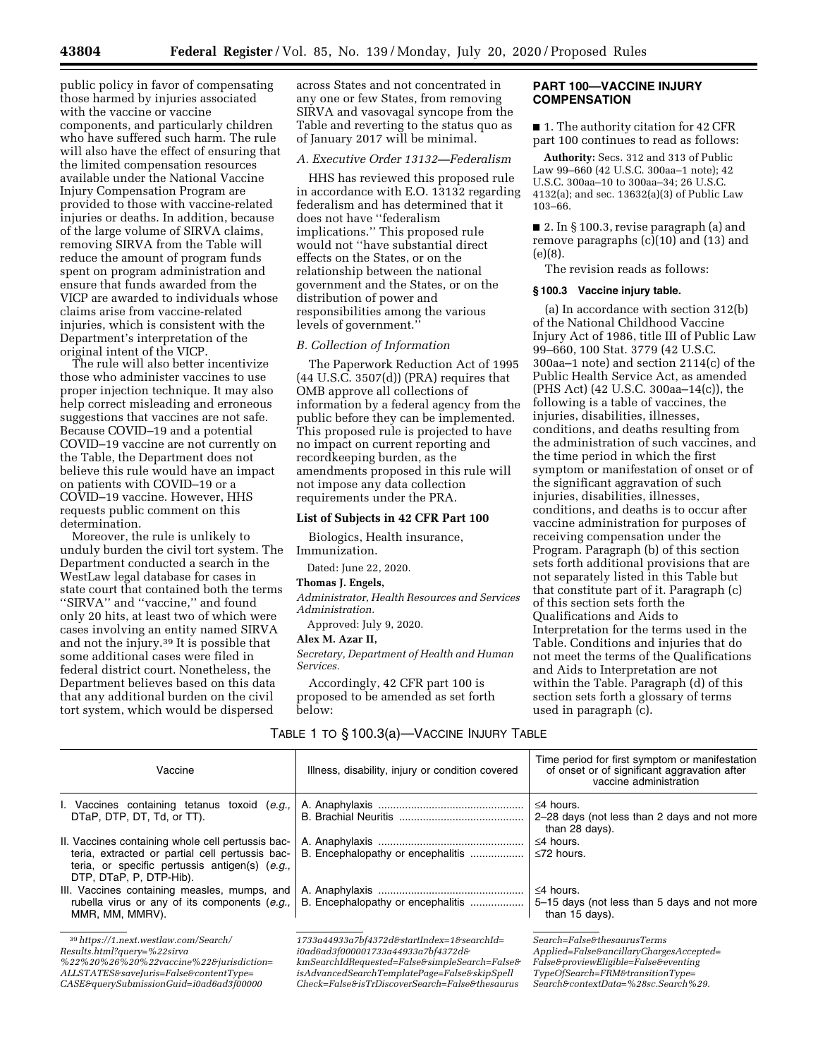public policy in favor of compensating those harmed by injuries associated with the vaccine or vaccine components, and particularly children who have suffered such harm. The rule will also have the effect of ensuring that the limited compensation resources available under the National Vaccine Injury Compensation Program are provided to those with vaccine-related injuries or deaths. In addition, because of the large volume of SIRVA claims, removing SIRVA from the Table will reduce the amount of program funds spent on program administration and ensure that funds awarded from the VICP are awarded to individuals whose claims arise from vaccine-related injuries, which is consistent with the Department's interpretation of the

original intent of the VICP. The rule will also better incentivize those who administer vaccines to use proper injection technique. It may also help correct misleading and erroneous suggestions that vaccines are not safe. Because COVID–19 and a potential COVID–19 vaccine are not currently on the Table, the Department does not believe this rule would have an impact on patients with COVID–19 or a COVID–19 vaccine. However, HHS requests public comment on this determination.

Moreover, the rule is unlikely to unduly burden the civil tort system. The Department conducted a search in the WestLaw legal database for cases in state court that contained both the terms ''SIRVA'' and ''vaccine,'' and found only 20 hits, at least two of which were cases involving an entity named SIRVA and not the injury.39 It is possible that some additional cases were filed in federal district court. Nonetheless, the Department believes based on this data that any additional burden on the civil tort system, which would be dispersed

across States and not concentrated in any one or few States, from removing SIRVA and vasovagal syncope from the Table and reverting to the status quo as of January 2017 will be minimal.

### *A. Executive Order 13132—Federalism*

HHS has reviewed this proposed rule in accordance with E.O. 13132 regarding federalism and has determined that it does not have ''federalism implications.'' This proposed rule would not ''have substantial direct effects on the States, or on the relationship between the national government and the States, or on the distribution of power and responsibilities among the various levels of government.''

#### *B. Collection of Information*

The Paperwork Reduction Act of 1995 (44 U.S.C. 3507(d)) (PRA) requires that OMB approve all collections of information by a federal agency from the public before they can be implemented. This proposed rule is projected to have no impact on current reporting and recordkeeping burden, as the amendments proposed in this rule will not impose any data collection requirements under the PRA.

### **List of Subjects in 42 CFR Part 100**

Biologics, Health insurance, Immunization.

Dated: June 22, 2020.

### **Thomas J. Engels,**

*Administrator, Health Resources and Services Administration.* 

Approved: July 9, 2020.

#### **Alex M. Azar II,**

*Secretary, Department of Health and Human Services.* 

TABLE 1 TO § 100.3(a)—VACCINE INJURY TABLE

Accordingly, 42 CFR part 100 is proposed to be amended as set forth below:

## **PART 100—VACCINE INJURY COMPENSATION**

■ 1. The authority citation for 42 CFR part 100 continues to read as follows:

**Authority:** Secs. 312 and 313 of Public Law 99–660 (42 U.S.C. 300aa–1 note); 42 U.S.C. 300aa–10 to 300aa–34; 26 U.S.C. 4132(a); and sec. 13632(a)(3) of Public Law 103–66.

■ 2. In § 100.3, revise paragraph (a) and remove paragraphs  $(c)(10)$  and  $(13)$  and (e)(8).

The revision reads as follows:

#### **§ 100.3 Vaccine injury table.**

(a) In accordance with section 312(b) of the National Childhood Vaccine Injury Act of 1986, title III of Public Law 99–660, 100 Stat. 3779 (42 U.S.C. 300aa–1 note) and section 2114(c) of the Public Health Service Act, as amended (PHS Act) (42 U.S.C. 300aa–14(c)), the following is a table of vaccines, the injuries, disabilities, illnesses, conditions, and deaths resulting from the administration of such vaccines, and the time period in which the first symptom or manifestation of onset or of the significant aggravation of such injuries, disabilities, illnesses, conditions, and deaths is to occur after vaccine administration for purposes of receiving compensation under the Program. Paragraph (b) of this section sets forth additional provisions that are not separately listed in this Table but that constitute part of it. Paragraph (c) of this section sets forth the Qualifications and Aids to Interpretation for the terms used in the Table. Conditions and injuries that do not meet the terms of the Qualifications and Aids to Interpretation are not within the Table. Paragraph (d) of this section sets forth a glossary of terms used in paragraph (c).

| Vaccine                                                                                                                                                                           | Illness, disability, injury or condition covered                 | Time period for first symptom or manifestation<br>of onset or of significant aggravation after<br>vaccine administration |
|-----------------------------------------------------------------------------------------------------------------------------------------------------------------------------------|------------------------------------------------------------------|--------------------------------------------------------------------------------------------------------------------------|
| I. Vaccines containing tetanus toxoid (e.g.,<br>DTaP, DTP, DT, Td, or TT).                                                                                                        |                                                                  | $\leq$ 4 hours.<br>2–28 days (not less than 2 days and not more<br>than 28 days).                                        |
| II. Vaccines containing whole cell pertussis bac-<br>teria, extracted or partial cell pertussis bac-<br>teria, or specific pertussis antigen(s) (e.g.,<br>DTP, DTaP, P, DTP-Hib). |                                                                  | $\leq$ 4 hours.<br>$\leq 72$ hours.                                                                                      |
| III. Vaccines containing measles, mumps, and<br>rubella virus or any of its components (e.g.,<br>MMR. MM. MMRV).                                                                  | B. Encephalopathy or encephalitis                                | $\leq$ 4 hours.<br>5–15 days (not less than 5 days and not more<br>than 15 days).                                        |
| <sup>39</sup> https://1.next.westlaw.com/Search/                                                                                                                                  | $1733a44933a7bf4372d\mathcal{F}startIndex=1\mathcal{F}searchId=$ | $Search=False\&the saurus Terms$                                                                                         |

39*https://1.next.westlaw.com/Search/*

*Results.html?query=%22sirva*

*ALLSTATES&saveJuris=False&contentType=*

*CASE&querySubmissionGuid=i0ad6ad3f00000*

*<sup>%22%20%26%20%22</sup>vaccine%22&jurisdiction=*

*i0ad6ad3f000001733a44933a7bf4372d& kmSearchIdRequested=False&simpleSearch=False& isAdvancedSearchTemplatePage=False&skipSpell Check=False&isTrDiscoverSearch=False&thesaurus*

*Search=False&thesaurusTerms Applied=False&ancillaryChargesAccepted= False&proviewEligible=False&eventing TypeOfSearch=FRM&transitionType= Search&contextData=%28sc.Search%29.*